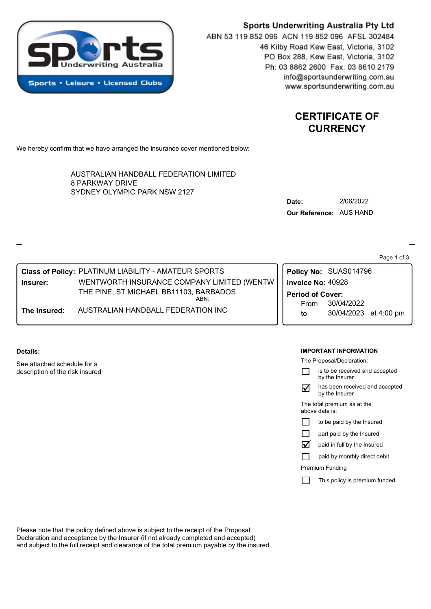

# Sports Underwriting Australia Pty Ltd ABN 53 119 852 096 ACN 119 852 096 AFSL 302484 46 Kilby Road Kew East, Victoria, 3102 PO Box 288, Kew East, Victoria, 3102 Ph: 03 8862 2600 Fax: 03 8610 2179 info@sportsunderwriting.com.au

# **CERTIFICATE OF CURRENCY**

www.sportsunderwriting.com.au

We hereby confirm that we have arranged the insurance cover mentioned below:

**The Insured:** AUSTRALIAN HANDBALL FEDERATION INC

**Class of Policy:** PLATINUM LIABILITY - AMATEUR SPORTS

SYDNEY OLYMPIC PARK NSW 2127 AUSTRALIAN HANDBALL FEDERATION LIMITED 8 PARKWAY DRIVE

THE PINE, ST MICHAEL BB11103, BARBADOS

ABN:

| Date:                   | 2/06/2022 |
|-------------------------|-----------|
| Our Reference: AUS HAND |           |

Page 1 of 3

to 30/04/2023 at 4:00 pm From 30/04/2022 **Period of Cover: Policy No:** SUAS014796 **Insurer:** WENTWORTH INSURANCE COMPANY LIMITED (WENTW **Invoice No:** 40928

### **Details:**

See attached schedule for a description of the risk insured

### **IMPORTANT INFORMATION**

The Proposal/Declaration:

|                                               | is to be received and accepted<br>by the Insurer |  |  |  |  |
|-----------------------------------------------|--------------------------------------------------|--|--|--|--|
|                                               | has been received and accepted<br>by the Insurer |  |  |  |  |
| The total premium as at the<br>above date is: |                                                  |  |  |  |  |
|                                               | to be paid by the Insured                        |  |  |  |  |
|                                               | part paid by the Insured                         |  |  |  |  |
| M                                             | paid in full by the Insured                      |  |  |  |  |
|                                               | paid by monthly direct debit                     |  |  |  |  |
| Premium Funding                               |                                                  |  |  |  |  |
|                                               | This policy is premium funded                    |  |  |  |  |

Please note that the policy defined above is subject to the receipt of the Proposal Declaration and acceptance by the Insurer (if not already completed and accepted) and subject to the full receipt and clearance of the total premium payable by the insured.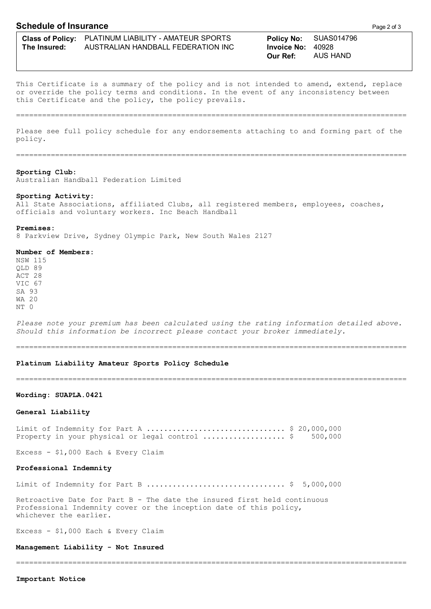## **Schedule of Insurance Page 2 of 3**

This Certificate is a summary of the policy and is not intended to amend, extend, replace or override the policy terms and conditions. In the event of any inconsistency between this Certificate and the policy, the policy prevails.

==========================================================================================

Please see full policy schedule for any endorsements attaching to and forming part of the policy.

==========================================================================================

#### **Sporting Club:**

Australian Handball Federation Limited

#### **Sporting Activity:**

All State Associations, affiliated Clubs, all registered members, employees, coaches, officials and voluntary workers. Inc Beach Handball

#### **Premises:**

8 Parkview Drive, Sydney Olympic Park, New South Wales 2127

### **Number of Members:**

NSW 115 QLD 89 ACT 28 VIC 67 SA 93 WA 20  $NT$   $\cap$ 

*Please note your premium has been calculated using the rating information detailed above. Should this information be incorrect please contact your broker immediately.*

==========================================================================================

#### **Platinum Liability Amateur Sports Policy Schedule**

==========================================================================================

### **Wording: SUAPLA.0421**

#### **General Liability**

Limit of Indemnity for Part A ................................ \$ 20,000,000 Property in your physical or legal control ...................... \$ 500,000

Excess - \$1,000 Each & Every Claim

### **Professional Indemnity**

Limit of Indemnity for Part B ................................ \$ 5,000,000

==========================================================================================

Retroactive Date for Part B - The date the insured first held continuous Professional Indemnity cover or the inception date of this policy, whichever the earlier.

Excess - \$1,000 Each & Every Claim

**Management Liability - Not Insured**